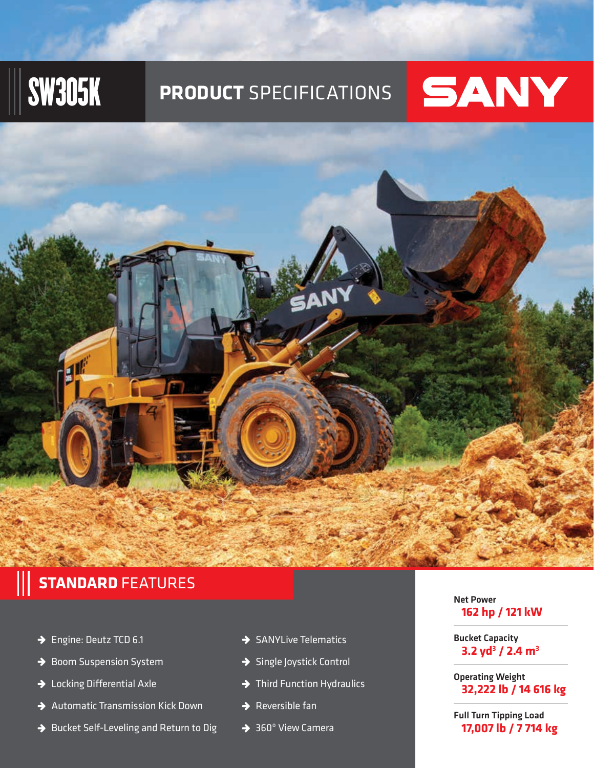# SW305K **PRODUCT** SPECIFICATIONS



## **STANDARD** FEATURES

- → Engine: Deutz TCD 6.1
- → Boom Suspension System
- → Locking Differential Axle
- $\rightarrow$  Automatic Transmission Kick Down
- $\rightarrow$  Bucket Self-Leveling and Return to Dig
- $\rightarrow$  SANYLive Telematics
- → Single Joystick Control
- $\rightarrow$  Third Function Hydraulics
- $\rightarrow$  Reversible fan
- $\overline{\bigstar}$  360 $^{\circ}$  View Camera

### Net Power **162 hp / 121 kW**

Bucket Capacity **3.2 yd3 / 2.4 m3**

Operating Weight **32,222 lb / 14 616 kg**

Full Turn Tipping Load **17,007 lb / 7 714 kg**